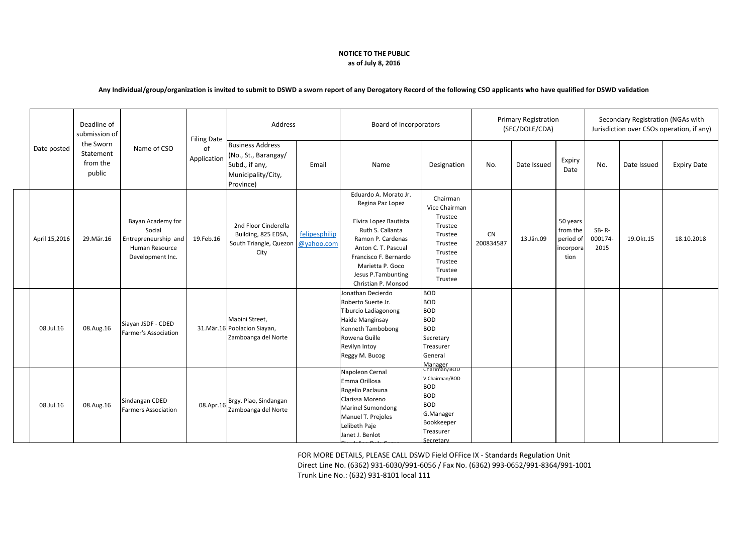## **NOTICE TO THE PUBLIC as of July 8, 2016**

## **Any Individual/group/organization is invited to submit to DSWD a sworn report of any Derogatory Record of the following CSO applicants who have qualified for DSWD validation**

| Date posted   | Deadline of<br>submission of<br>the Sworn<br>Statement<br>from the<br>public | Name of CSO                                                                               | <b>Filing Date</b><br>of<br>Application | Address                                                                                              |                             | Board of Incorporators                                                                                                                                                                                                       |                                                                                                                                           | <b>Primary Registration</b><br>(SEC/DOLE/CDA) |             |                                                        | Secondary Registration (NGAs with<br>Jurisdiction over CSOs operation, if any) |             |                    |
|---------------|------------------------------------------------------------------------------|-------------------------------------------------------------------------------------------|-----------------------------------------|------------------------------------------------------------------------------------------------------|-----------------------------|------------------------------------------------------------------------------------------------------------------------------------------------------------------------------------------------------------------------------|-------------------------------------------------------------------------------------------------------------------------------------------|-----------------------------------------------|-------------|--------------------------------------------------------|--------------------------------------------------------------------------------|-------------|--------------------|
|               |                                                                              |                                                                                           |                                         | <b>Business Address</b><br>(No., St., Barangay/<br>Subd., if any,<br>Municipality/City,<br>Province) | Email                       | Name                                                                                                                                                                                                                         | Designation                                                                                                                               | No.                                           | Date Issued | Expiry<br>Date                                         | No.                                                                            | Date Issued | <b>Expiry Date</b> |
| April 15,2016 | 29.Mär.16                                                                    | Bayan Academy for<br>Social<br>Entrepreneurship and<br>Human Resource<br>Development Inc. | 19.Feb.16                               | 2nd Floor Cinderella<br>Building, 825 EDSA,<br>South Triangle, Quezon<br>City                        | felipesphilip<br>@yahoo.com | Eduardo A. Morato Jr.<br>Regina Paz Lopez<br>Elvira Lopez Bautista<br>Ruth S. Callanta<br>Ramon P. Cardenas<br>Anton C. T. Pascual<br>Francisco F. Bernardo<br>Marietta P. Goco<br>Jesus P.Tambunting<br>Christian P. Monsod | Chairman<br>Vice Chairman<br>Trustee<br>Trustee<br>Trustee<br>Trustee<br>Trustee<br>Trustee<br>Trustee<br>Trustee                         | <b>CN</b><br>200834587                        | 13.Jän.09   | 50 years<br>from the<br>period of<br>incorpora<br>tion | $SB-R$ -<br>000174-<br>2015                                                    | 19.0kt.15   | 18.10.2018         |
| 08.Jul.16     | 08.Aug.16                                                                    | Siayan JSDF - CDED<br>Farmer's Association                                                |                                         | Mabini Street,<br>31. Mär. 16 Poblacion Siayan,<br>Zamboanga del Norte                               |                             | Jonathan Decierdo<br>Roberto Suerte Jr.<br>Tiburcio Ladiagonong<br>Haide Manginsay<br><b>Kenneth Tambobong</b><br>Rowena Guille<br>Revilyn Intoy<br>Reggy M. Bucog                                                           | <b>BOD</b><br><b>BOD</b><br><b>BOD</b><br><b>BOD</b><br><b>BOD</b><br>Secretary<br>Treasurer<br><b>General</b><br>Manager<br>Chariman/BOD |                                               |             |                                                        |                                                                                |             |                    |
| 08.Jul.16     | 08.Aug.16                                                                    | Sindangan CDED<br><b>Farmers Association</b>                                              | 08.Apr.16                               | Brgy. Piao, Sindangan<br>Zamboanga del Norte                                                         |                             | Napoleon Cernal<br>Emma Orillosa<br>Rogelio Paclauna<br>Clarissa Moreno<br><b>Marinel Sumondong</b><br>Manuel T. Prejoles<br>Lelibeth Paje<br>Janet J. Benlot                                                                | V.Chairman/BOD<br><b>BOD</b><br><b>BOD</b><br><b>BOD</b><br>G.Manager<br>Bookkeeper<br>Treasurer<br>Secretary                             |                                               |             |                                                        |                                                                                |             |                    |

FOR MORE DETAILS, PLEASE CALL DSWD Field OFFice IX - Standards Regulation Unit Direct Line No. (6362) 931-6030/991-6056 / Fax No. (6362) 993-0652/991-8364/991-1001 Trunk Line No.: (632) 931-8101 local 111